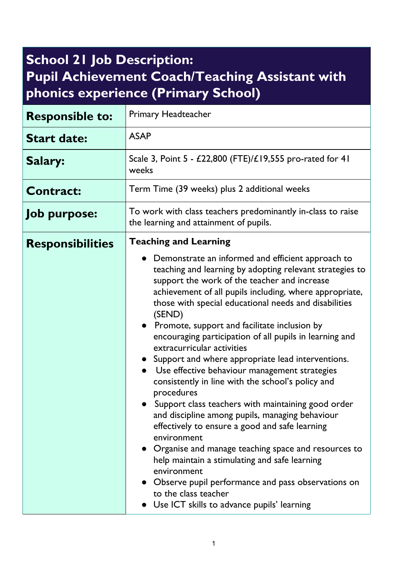## **School 21 Job Description: Pupil Achievement Coach/Teaching Assistant with phonics experience (Primary School)**

| <b>Responsible to:</b>  | <b>Primary Headteacher</b>                                                                                                                                                                                                                                                                                                                                                                                                                                                                                                                                                                                                                                                                                                                                                                                                                                                                                                                                                                                                                       |
|-------------------------|--------------------------------------------------------------------------------------------------------------------------------------------------------------------------------------------------------------------------------------------------------------------------------------------------------------------------------------------------------------------------------------------------------------------------------------------------------------------------------------------------------------------------------------------------------------------------------------------------------------------------------------------------------------------------------------------------------------------------------------------------------------------------------------------------------------------------------------------------------------------------------------------------------------------------------------------------------------------------------------------------------------------------------------------------|
| <b>Start date:</b>      | <b>ASAP</b>                                                                                                                                                                                                                                                                                                                                                                                                                                                                                                                                                                                                                                                                                                                                                                                                                                                                                                                                                                                                                                      |
| Salary:                 | Scale 3, Point 5 - £22,800 (FTE)/£19,555 pro-rated for 41<br>weeks                                                                                                                                                                                                                                                                                                                                                                                                                                                                                                                                                                                                                                                                                                                                                                                                                                                                                                                                                                               |
| <b>Contract:</b>        | Term Time (39 weeks) plus 2 additional weeks                                                                                                                                                                                                                                                                                                                                                                                                                                                                                                                                                                                                                                                                                                                                                                                                                                                                                                                                                                                                     |
| <b>Job purpose:</b>     | To work with class teachers predominantly in-class to raise<br>the learning and attainment of pupils.                                                                                                                                                                                                                                                                                                                                                                                                                                                                                                                                                                                                                                                                                                                                                                                                                                                                                                                                            |
| <b>Responsibilities</b> | <b>Teaching and Learning</b>                                                                                                                                                                                                                                                                                                                                                                                                                                                                                                                                                                                                                                                                                                                                                                                                                                                                                                                                                                                                                     |
|                         | Demonstrate an informed and efficient approach to<br>teaching and learning by adopting relevant strategies to<br>support the work of the teacher and increase<br>achievement of all pupils including, where appropriate,<br>those with special educational needs and disabilities<br>(SEND)<br>• Promote, support and facilitate inclusion by<br>encouraging participation of all pupils in learning and<br>extracurricular activities<br>Support and where appropriate lead interventions.<br>Use effective behaviour management strategies<br>consistently in line with the school's policy and<br>procedures<br>Support class teachers with maintaining good order<br>and discipline among pupils, managing behaviour<br>effectively to ensure a good and safe learning<br>environment<br>• Organise and manage teaching space and resources to<br>help maintain a stimulating and safe learning<br>environment<br>• Observe pupil performance and pass observations on<br>to the class teacher<br>Use ICT skills to advance pupils' learning |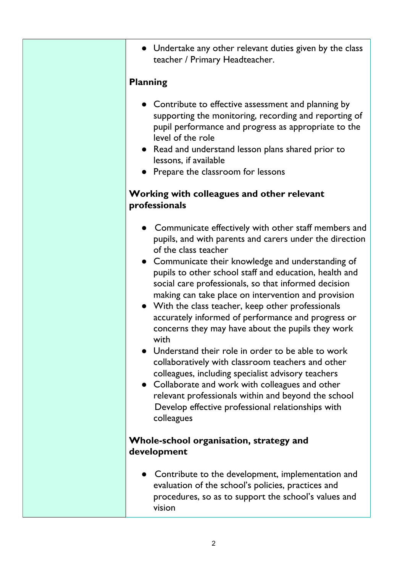• Undertake any other relevant duties given by the class teacher / Primary Headteacher.

## **Planning**

- Contribute to effective assessment and planning by supporting the monitoring, recording and reporting of pupil performance and progress as appropriate to the level of the role
- Read and understand lesson plans shared prior to lessons, if available
- Prepare the classroom for lessons

## **Working with colleagues and other relevant professionals**

- Communicate effectively with other staff members and pupils, and with parents and carers under the direction of the class teacher
- Communicate their knowledge and understanding of pupils to other school staff and education, health and social care professionals, so that informed decision making can take place on intervention and provision
- With the class teacher, keep other professionals accurately informed of performance and progress or concerns they may have about the pupils they work with
- Understand their role in order to be able to work collaboratively with classroom teachers and other colleagues, including specialist advisory teachers
- Collaborate and work with colleagues and other relevant professionals within and beyond the school Develop effective professional relationships with colleagues

## **Whole-school organisation, strategy and development**

● Contribute to the development, implementation and evaluation of the school's policies, practices and procedures, so as to support the school's values and vision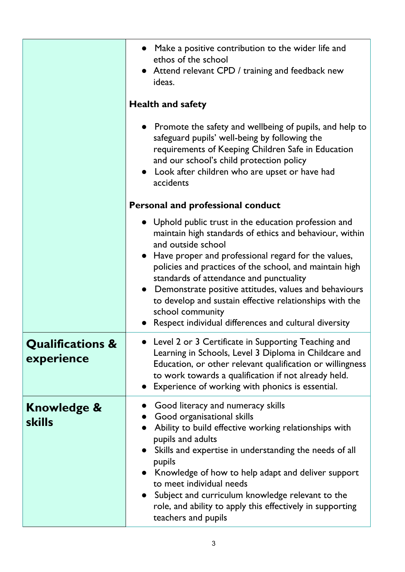|                                           | Make a positive contribution to the wider life and<br>ethos of the school<br>• Attend relevant CPD / training and feedback new<br>ideas.                                                                                                                                                                                                                                                                                                                                                                 |
|-------------------------------------------|----------------------------------------------------------------------------------------------------------------------------------------------------------------------------------------------------------------------------------------------------------------------------------------------------------------------------------------------------------------------------------------------------------------------------------------------------------------------------------------------------------|
|                                           | <b>Health and safety</b>                                                                                                                                                                                                                                                                                                                                                                                                                                                                                 |
|                                           | • Promote the safety and wellbeing of pupils, and help to<br>safeguard pupils' well-being by following the<br>requirements of Keeping Children Safe in Education<br>and our school's child protection policy<br>Look after children who are upset or have had<br>accidents                                                                                                                                                                                                                               |
|                                           | Personal and professional conduct                                                                                                                                                                                                                                                                                                                                                                                                                                                                        |
|                                           | • Uphold public trust in the education profession and<br>maintain high standards of ethics and behaviour, within<br>and outside school<br>• Have proper and professional regard for the values,<br>policies and practices of the school, and maintain high<br>standards of attendance and punctuality<br>• Demonstrate positive attitudes, values and behaviours<br>to develop and sustain effective relationships with the<br>school community<br>Respect individual differences and cultural diversity |
| <b>Qualifications &amp;</b><br>experience | Level 2 or 3 Certificate in Supporting Teaching and<br>Learning in Schools, Level 3 Diploma in Childcare and<br>Education, or other relevant qualification or willingness<br>to work towards a qualification if not already held.<br>Experience of working with phonics is essential.                                                                                                                                                                                                                    |
| <b>Knowledge &amp;</b><br><b>skills</b>   | Good literacy and numeracy skills<br>Good organisational skills<br>Ability to build effective working relationships with<br>pupils and adults<br>Skills and expertise in understanding the needs of all<br>pupils<br>Knowledge of how to help adapt and deliver support<br>to meet individual needs<br>Subject and curriculum knowledge relevant to the<br>role, and ability to apply this effectively in supporting<br>teachers and pupils                                                              |